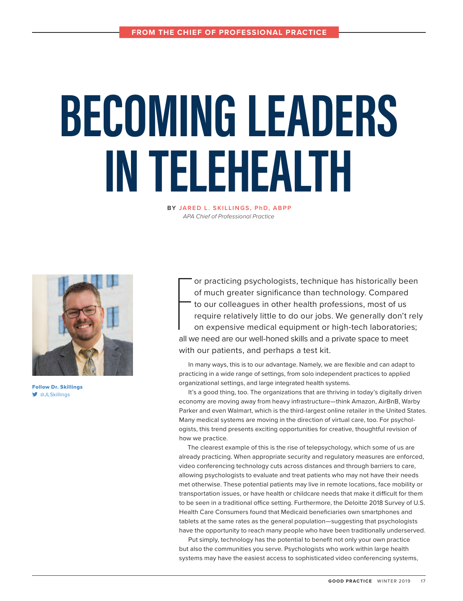# **BECOMING LEADERS IN TELEHEALTH**

**BY JARED L. SKILLINGS, PhD, ABPP** *APA Chief of Professional Practice*



Follow Dr. Skillings  $\blacktriangleright$  [@JLSkillings](http://twitter.com/@JLSkillings)

For all w or practicing psychologists, technique has historically been of much greater significance than technology. Compared to our colleagues in other health professions, most of us require relatively little to do our jobs. We generally don't rely on expensive medical equipment or high-tech laboratories; all we need are our well-honed skills and a private space to meet with our patients, and perhaps a test kit.

In many ways, this is to our advantage. Namely, we are flexible and can adapt to practicing in a wide range of settings, from solo independent practices to applied organizational settings, and large integrated health systems.

It's a good thing, too. The organizations that are thriving in today's digitally driven economy are moving away from heavy infrastructure—think Amazon, AirBnB, Warby Parker and even Walmart, which is the third-largest online retailer in the United States. Many medical systems are moving in the direction of virtual care, too. For psychologists, this trend presents exciting opportunities for creative, thoughtful revision of how we practice.

The clearest example of this is the rise of telepsychology, which some of us are already practicing. When appropriate security and regulatory measures are enforced, video conferencing technology cuts across distances and through barriers to care, allowing psychologists to evaluate and treat patients who may not have their needs met otherwise. These potential patients may live in remote locations, face mobility or transportation issues, or have health or childcare needs that make it difficult for them to be seen in a traditional office setting. Furthermore, the Deloitte 2018 Survey of U.S. Health Care Consumers found that Medicaid beneficiaries own smartphones and tablets at the same rates as the general population—suggesting that psychologists have the opportunity to reach many people who have been traditionally underserved.

Put simply, technology has the potential to benefit not only your own practice but also the communities you serve. Psychologists who work within large health systems may have the easiest access to sophisticated video conferencing systems,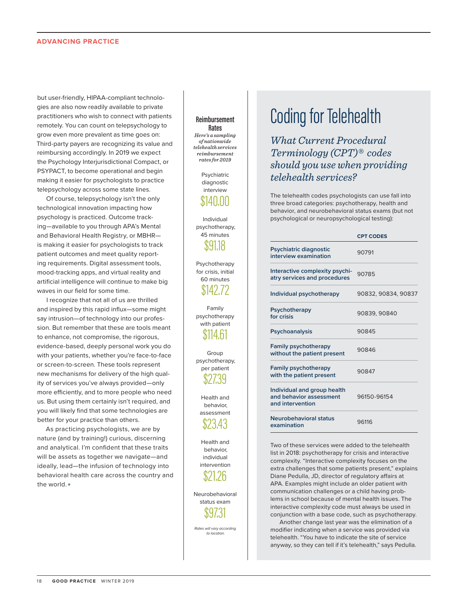#### **Advancing Practice**

but user-friendly, HIPAA-compliant technologies are also now readily available to private practitioners who wish to connect with patients remotely. You can count on telepsychology to grow even more prevalent as time goes on: Third-party payers are recognizing its value and reimbursing accordingly. In 2019 we expect the Psychology Interjurisdictional Compact, or PSYPACT, to become operational and begin making it easier for psychologists to practice telepsychology across some state lines.

Of course, telepsychology isn't the only technological innovation impacting how psychology is practiced. Outcome tracking—available to you through APA's Mental and Behavioral Health Registry, or MBHR is making it easier for psychologists to track patient outcomes and meet quality reporting requirements. Digital assessment tools, mood-tracking apps, and virtual reality and artificial intelligence will continue to make big waves in our field for some time.

I recognize that not all of us are thrilled and inspired by this rapid influx—some might say intrusion—of technology into our profession. But remember that these are tools meant to enhance, not compromise, the rigorous, evidence-based, deeply personal work you do with your patients, whether you're face-to-face or screen-to-screen. These tools represent new mechanisms for delivery of the high quality of services you've always provided—only more efficiently, and to more people who need us. But using them certainly isn't required, and you will likely find that some technologies are better for your practice than others.

As practicing psychologists, we are by nature (and by training!) curious, discerning and analytical. I'm confident that these traits will be assets as together we navigate—and ideally, lead—the infusion of technology into behavioral health care across the country and the world. ●

#### **Reimbursement Rates**

*Here's a sampling of nationwide telehealth services reimbursement rates for 2019*

> Psychiatric diagnostic interview

## \$140.00

Individual psychotherapy, 45 minutes \$91.18

Psychotherapy for crisis, initial 60 minutes \$142.72

Family psychotherapy with patient

\$114.61 Group

psychotherapy, per patient \$27.39

> Health and behavior, assessment

\$23.43

Health and behavior, individual intervention

\$21.26

Neurobehavioral status exam \$97.31

*Rates will vary according to location.* 

## Coding for Telehealth

*What Current Procedural Terminology (CPT)® codes should you use when providing telehealth services?* 

The telehealth codes psychologists can use fall into three broad categories: psychotherapy, health and behavior, and neurobehavioral status exams (but not psychological or neuropsychological testing):

|                                                                            | <b>CPT CODES</b>    |
|----------------------------------------------------------------------------|---------------------|
| Psychiatric diagnostic<br>interview examination                            | 90791               |
| Interactive complexity psychi-<br>atry services and procedures             | 90785               |
| Individual psychotherapy                                                   | 90832, 90834, 90837 |
| Psychotherapy<br>for crisis                                                | 90839, 90840        |
| Psychoanalysis                                                             | 90845               |
| <b>Family psychotherapy</b><br>without the patient present                 | 90846               |
| <b>Family psychotherapy</b><br>with the patient present                    | 90847               |
| Individual and group health<br>and behavior assessment<br>and intervention | 96150-96154         |
| Neurobehavioral status<br>examination                                      | 96116               |

Two of these services were added to the telehealth list in 2018: psychotherapy for crisis and interactive complexity. "Interactive complexity focuses on the extra challenges that some patients present," explains Diane Pedulla, JD, director of regulatory affairs at APA. Examples might include an older patient with communication challenges or a child having problems in school because of mental health issues. The interactive complexity code must always be used in conjunction with a base code, such as psychotherapy.

Another change last year was the elimination of a modifier indicating when a service was provided via telehealth. "You have to indicate the site of service anyway, so they can tell if it's telehealth," says Pedulla.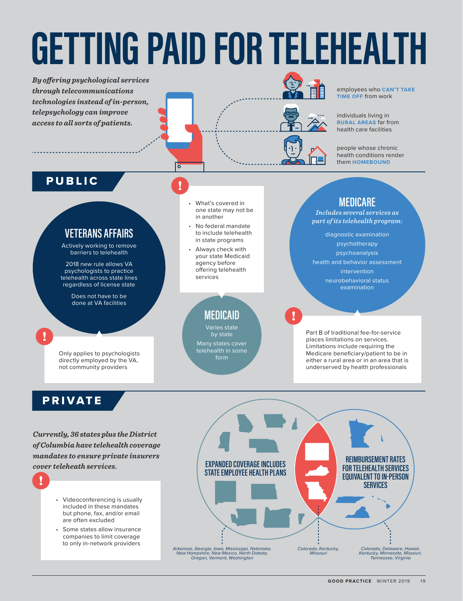## **GETTING PAID FOR TELEHEALTH**

*By offering psychological services through telecommunications technologies instead of in-person, telepsychology can improve access to all sorts of patients.*



employees who **CAN'T TAKE TIME OFF** from work

individuals living in **RURAL AREAS** far from health care facilities

people whose chronic health conditions render them **HOMEBOUND**

### PUBLIC

#### **VETERANS AFFAIRS**

Actively working to remove barriers to telehealth

2018 new rule allows VA psychologists to practice telehealth across state lines regardless of license state

> Does not have to be done at VA facilities

Only applies to psychologists directly employed by the VA, not community providers

• What's covered in one state may not be in another

lō

- No federal mandate to include telehealth in state programs
- Always check with your state Medicaid agency before offering telehealth services

**MEDICAID**

by state Many states cover telehealth in some form

**MEDICARE**

*Includes several services as part of its telehealth program:*

diagnostic examination psychotherapy psychoanalysis health and behavior assessment intervention neurobehavioral status examination

Part B of traditional fee-for-service places limitations on services. Limitations include requiring the Medicare beneficiary/patient to be in either a rural area or in an area that is underserved by health professionals

## PRIVATE

*Currently, 36 states plus the District of Columbia have telehealth coverage mandates to ensure private insurers cover teleheath services.*

- Videoconferencing is usually included in these mandates but phone, fax, and/or email are often excluded
- Some states allow insurance companies to limit coverage to only in-network providers